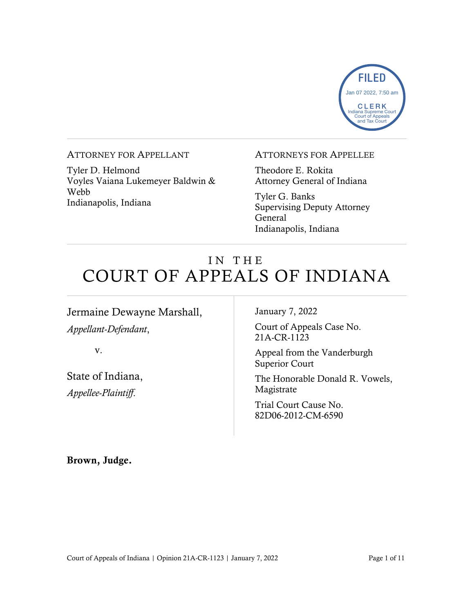

#### ATTORNEY FOR APPELLANT

Tyler D. Helmond Voyles Vaiana Lukemeyer Baldwin & Webb Indianapolis, Indiana

## ATTORNEYS FOR APPELLEE

Theodore E. Rokita Attorney General of Indiana

Tyler G. Banks Supervising Deputy Attorney General Indianapolis, Indiana

# IN THE COURT OF APPEALS OF INDIANA

Jermaine Dewayne Marshall, *Appellant-Defendant*,

v.

State of Indiana, *Appellee-Plaintiff*.

January 7, 2022

Court of Appeals Case No. 21A-CR-1123

Appeal from the Vanderburgh Superior Court

The Honorable Donald R. Vowels, Magistrate

Trial Court Cause No. 82D06-2012-CM-6590

Brown, Judge.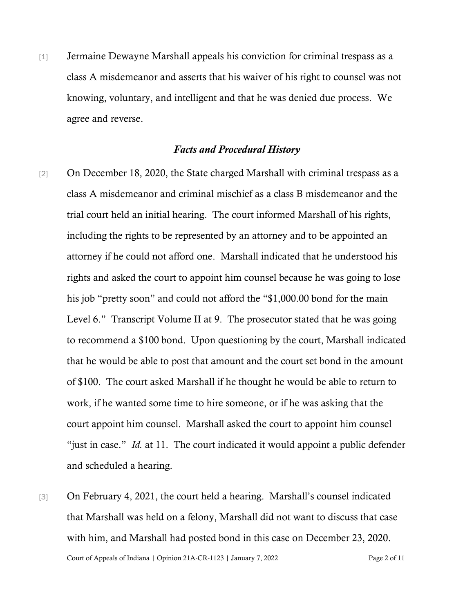[1] Jermaine Dewayne Marshall appeals his conviction for criminal trespass as a class A misdemeanor and asserts that his waiver of his right to counsel was not knowing, voluntary, and intelligent and that he was denied due process. We agree and reverse.

## *Facts and Procedural History*

- [2] On December 18, 2020, the State charged Marshall with criminal trespass as a class A misdemeanor and criminal mischief as a class B misdemeanor and the trial court held an initial hearing. The court informed Marshall of his rights, including the rights to be represented by an attorney and to be appointed an attorney if he could not afford one. Marshall indicated that he understood his rights and asked the court to appoint him counsel because he was going to lose his job "pretty soon" and could not afford the "\$1,000.00 bond for the main Level 6." Transcript Volume II at 9. The prosecutor stated that he was going to recommend a \$100 bond. Upon questioning by the court, Marshall indicated that he would be able to post that amount and the court set bond in the amount of \$100. The court asked Marshall if he thought he would be able to return to work, if he wanted some time to hire someone, or if he was asking that the court appoint him counsel. Marshall asked the court to appoint him counsel "just in case." *Id.* at 11. The court indicated it would appoint a public defender and scheduled a hearing.
- Court of Appeals of Indiana | Opinion 21A-CR-1123 | January 7, 2022 Page 2 of 11 [3] On February 4, 2021, the court held a hearing. Marshall's counsel indicated that Marshall was held on a felony, Marshall did not want to discuss that case with him, and Marshall had posted bond in this case on December 23, 2020.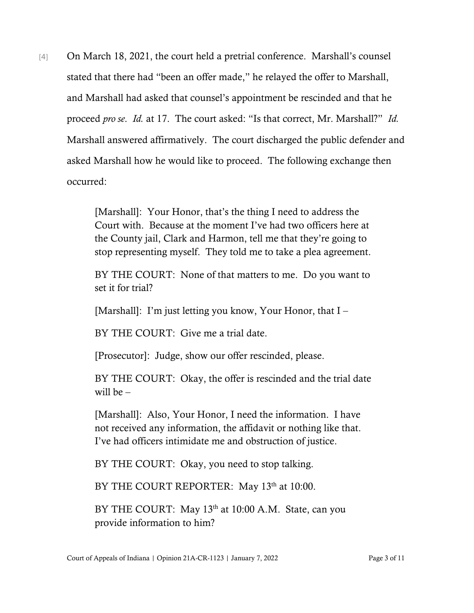[4] On March 18, 2021, the court held a pretrial conference. Marshall's counsel stated that there had "been an offer made," he relayed the offer to Marshall, and Marshall had asked that counsel's appointment be rescinded and that he proceed *pro se*. *Id.* at 17. The court asked: "Is that correct, Mr. Marshall?" *Id.* Marshall answered affirmatively. The court discharged the public defender and asked Marshall how he would like to proceed. The following exchange then occurred:

> [Marshall]: Your Honor, that's the thing I need to address the Court with. Because at the moment I've had two officers here at the County jail, Clark and Harmon, tell me that they're going to stop representing myself. They told me to take a plea agreement.

> BY THE COURT: None of that matters to me. Do you want to set it for trial?

[Marshall]: I'm just letting you know, Your Honor, that I –

BY THE COURT: Give me a trial date.

[Prosecutor]: Judge, show our offer rescinded, please.

BY THE COURT: Okay, the offer is rescinded and the trial date will be  $-$ 

[Marshall]: Also, Your Honor, I need the information. I have not received any information, the affidavit or nothing like that. I've had officers intimidate me and obstruction of justice.

BY THE COURT: Okay, you need to stop talking.

BY THE COURT REPORTER: May 13<sup>th</sup> at 10:00.

BY THE COURT: May 13<sup>th</sup> at 10:00 A.M. State, can you provide information to him?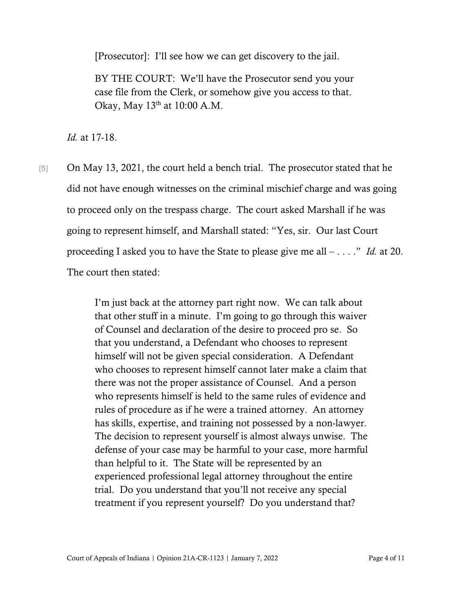[Prosecutor]: I'll see how we can get discovery to the jail.

BY THE COURT: We'll have the Prosecutor send you your case file from the Clerk, or somehow give you access to that. Okay, May 13th at 10:00 A.M.

*Id.* at 17-18.

[5] On May 13, 2021, the court held a bench trial. The prosecutor stated that he did not have enough witnesses on the criminal mischief charge and was going to proceed only on the trespass charge. The court asked Marshall if he was going to represent himself, and Marshall stated: "Yes, sir. Our last Court proceeding I asked you to have the State to please give me all – . . . ." *Id.* at 20. The court then stated:

> I'm just back at the attorney part right now. We can talk about that other stuff in a minute. I'm going to go through this waiver of Counsel and declaration of the desire to proceed pro se. So that you understand, a Defendant who chooses to represent himself will not be given special consideration. A Defendant who chooses to represent himself cannot later make a claim that there was not the proper assistance of Counsel. And a person who represents himself is held to the same rules of evidence and rules of procedure as if he were a trained attorney. An attorney has skills, expertise, and training not possessed by a non-lawyer. The decision to represent yourself is almost always unwise. The defense of your case may be harmful to your case, more harmful than helpful to it. The State will be represented by an experienced professional legal attorney throughout the entire trial. Do you understand that you'll not receive any special treatment if you represent yourself? Do you understand that?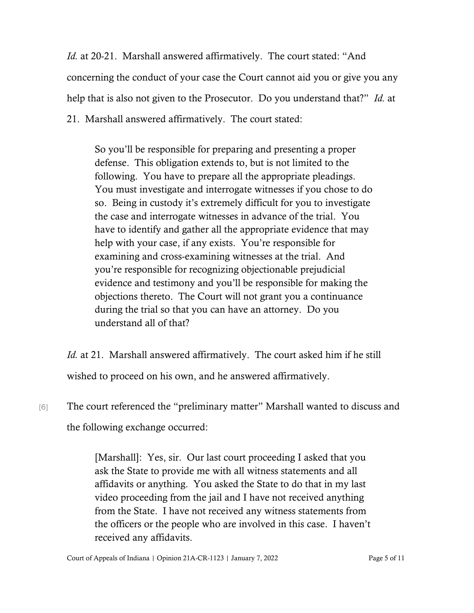*Id.* at 20-21. Marshall answered affirmatively. The court stated: "And concerning the conduct of your case the Court cannot aid you or give you any help that is also not given to the Prosecutor. Do you understand that?" *Id.* at 21. Marshall answered affirmatively. The court stated:

So you'll be responsible for preparing and presenting a proper defense. This obligation extends to, but is not limited to the following. You have to prepare all the appropriate pleadings. You must investigate and interrogate witnesses if you chose to do so. Being in custody it's extremely difficult for you to investigate the case and interrogate witnesses in advance of the trial. You have to identify and gather all the appropriate evidence that may help with your case, if any exists. You're responsible for examining and cross-examining witnesses at the trial. And you're responsible for recognizing objectionable prejudicial evidence and testimony and you'll be responsible for making the objections thereto. The Court will not grant you a continuance during the trial so that you can have an attorney. Do you understand all of that?

*Id.* at 21. Marshall answered affirmatively. The court asked him if he still wished to proceed on his own, and he answered affirmatively.

[6] The court referenced the "preliminary matter" Marshall wanted to discuss and the following exchange occurred:

> [Marshall]: Yes, sir. Our last court proceeding I asked that you ask the State to provide me with all witness statements and all affidavits or anything. You asked the State to do that in my last video proceeding from the jail and I have not received anything from the State. I have not received any witness statements from the officers or the people who are involved in this case. I haven't received any affidavits.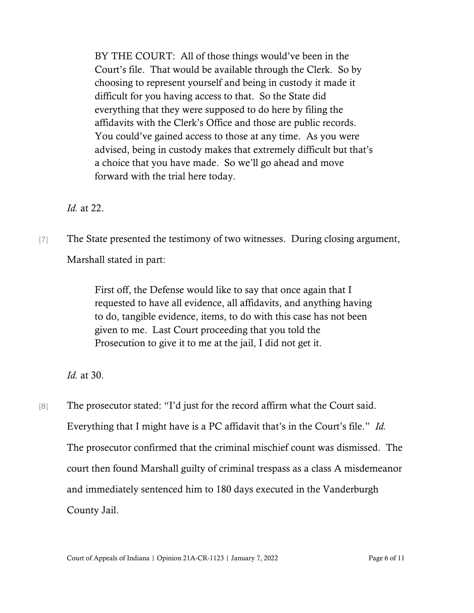BY THE COURT: All of those things would've been in the Court's file. That would be available through the Clerk. So by choosing to represent yourself and being in custody it made it difficult for you having access to that. So the State did everything that they were supposed to do here by filing the affidavits with the Clerk's Office and those are public records. You could've gained access to those at any time. As you were advised, being in custody makes that extremely difficult but that's a choice that you have made. So we'll go ahead and move forward with the trial here today.

*Id.* at 22.

[7] The State presented the testimony of two witnesses. During closing argument, Marshall stated in part:

> First off, the Defense would like to say that once again that I requested to have all evidence, all affidavits, and anything having to do, tangible evidence, items, to do with this case has not been given to me. Last Court proceeding that you told the Prosecution to give it to me at the jail, I did not get it.

*Id.* at 30.

[8] The prosecutor stated: "I'd just for the record affirm what the Court said. Everything that I might have is a PC affidavit that's in the Court's file." *Id.* The prosecutor confirmed that the criminal mischief count was dismissed. The court then found Marshall guilty of criminal trespass as a class A misdemeanor and immediately sentenced him to 180 days executed in the Vanderburgh County Jail.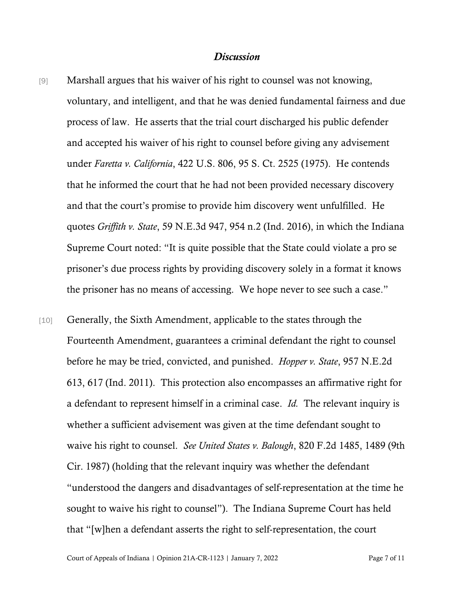## *Discussion*

- [9] Marshall argues that his waiver of his right to counsel was not knowing, voluntary, and intelligent, and that he was denied fundamental fairness and due process of law. He asserts that the trial court discharged his public defender and accepted his waiver of his right to counsel before giving any advisement under *Faretta v. California*, 422 U.S. 806, 95 S. Ct. 2525 (1975). He contends that he informed the court that he had not been provided necessary discovery and that the court's promise to provide him discovery went unfulfilled. He quotes *Griffith v. State*, 59 N.E.3d 947, 954 n.2 (Ind. 2016), in which the Indiana Supreme Court noted: "It is quite possible that the State could violate a pro se prisoner's due process rights by providing discovery solely in a format it knows the prisoner has no means of accessing. We hope never to see such a case."
- [10] Generally, the Sixth Amendment, applicable to the states through the Fourteenth Amendment, guarantees a criminal defendant the right to counsel before he may be tried, convicted, and punished. *Hopper v. State*, 957 N.E.2d 613, 617 (Ind. 2011). This protection also encompasses an affirmative right for a defendant to represent himself in a criminal case. *Id.* The relevant inquiry is whether a sufficient advisement was given at the time defendant sought to waive his right to counsel. *See United States v. Balough*, 820 F.2d 1485, 1489 (9th Cir. 1987) (holding that the relevant inquiry was whether the defendant "understood the dangers and disadvantages of self-representation at the time he sought to waive his right to counsel"). The Indiana Supreme Court has held that "[w]hen a defendant asserts the right to self-representation, the court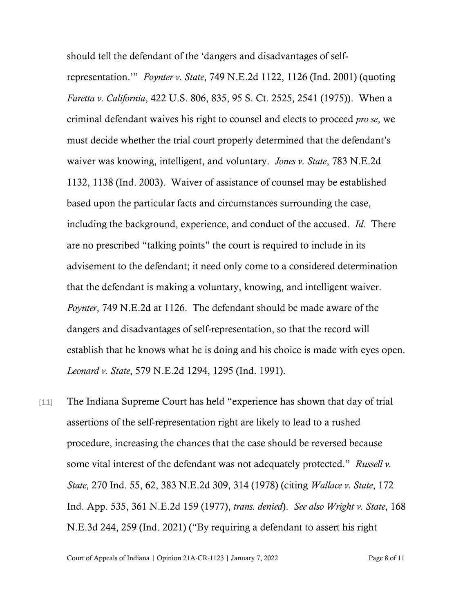should tell the defendant of the 'dangers and disadvantages of selfrepresentation.'" *Poynter v. State*, 749 N.E.2d 1122, 1126 (Ind. 2001) (quoting *Faretta v. California*, 422 U.S. 806, 835, 95 S. Ct. 2525, 2541 (1975)). When a criminal defendant waives his right to counsel and elects to proceed *pro se*, we must decide whether the trial court properly determined that the defendant's waiver was knowing, intelligent, and voluntary. *Jones v. State*, 783 N.E.2d 1132, 1138 (Ind. 2003). Waiver of assistance of counsel may be established based upon the particular facts and circumstances surrounding the case, including the background, experience, and conduct of the accused. *Id.* There are no prescribed "talking points" the court is required to include in its advisement to the defendant; it need only come to a considered determination that the defendant is making a voluntary, knowing, and intelligent waiver. *Poynter*, 749 N.E.2d at 1126. The defendant should be made aware of the dangers and disadvantages of self-representation, so that the record will establish that he knows what he is doing and his choice is made with eyes open. *Leonard v. State*, 579 N.E.2d 1294, 1295 (Ind. 1991).

[11] The Indiana Supreme Court has held "experience has shown that day of trial assertions of the self-representation right are likely to lead to a rushed procedure, increasing the chances that the case should be reversed because some vital interest of the defendant was not adequately protected." *Russell v. State*, 270 Ind. 55, 62, 383 N.E.2d 309, 314 (1978) (citing *Wallace v. State*, 172 Ind. App. 535, 361 N.E.2d 159 (1977), *trans. denied*). *See also Wright v. State*, 168 N.E.3d 244, 259 (Ind. 2021) ("By requiring a defendant to assert his right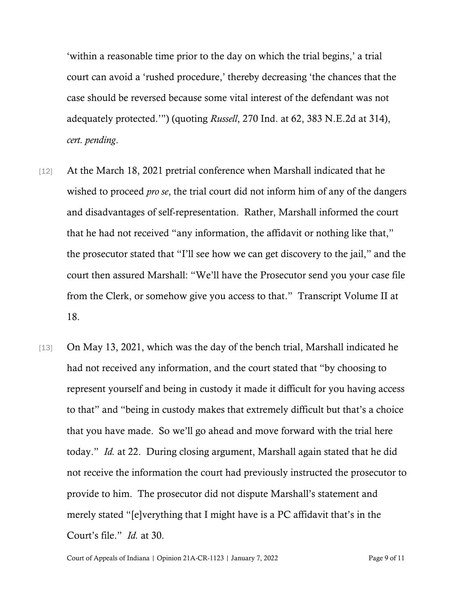'within a reasonable time prior to the day on which the trial begins,' a trial court can avoid a 'rushed procedure,' thereby decreasing 'the chances that the case should be reversed because some vital interest of the defendant was not adequately protected.'") (quoting *Russell*, 270 Ind. at 62, 383 N.E.2d at 314), *cert. pending*.

- [12] At the March 18, 2021 pretrial conference when Marshall indicated that he wished to proceed *pro se*, the trial court did not inform him of any of the dangers and disadvantages of self-representation. Rather, Marshall informed the court that he had not received "any information, the affidavit or nothing like that," the prosecutor stated that "I'll see how we can get discovery to the jail," and the court then assured Marshall: "We'll have the Prosecutor send you your case file from the Clerk, or somehow give you access to that." Transcript Volume II at 18.
- [13] On May 13, 2021, which was the day of the bench trial, Marshall indicated he had not received any information, and the court stated that "by choosing to represent yourself and being in custody it made it difficult for you having access to that" and "being in custody makes that extremely difficult but that's a choice that you have made. So we'll go ahead and move forward with the trial here today." *Id.* at 22. During closing argument, Marshall again stated that he did not receive the information the court had previously instructed the prosecutor to provide to him. The prosecutor did not dispute Marshall's statement and merely stated "[e]verything that I might have is a PC affidavit that's in the Court's file." *Id.* at 30.

Court of Appeals of Indiana | Opinion 21A-CR-1123 | January 7, 2022 Page 9 of 11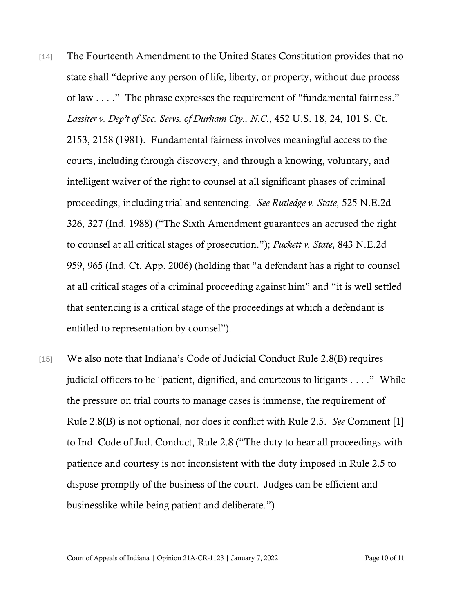- [14] The Fourteenth Amendment to the United States Constitution provides that no state shall "deprive any person of life, liberty, or property, without due process of law . . . ." The phrase expresses the requirement of "fundamental fairness." *Lassiter v. Dep't of Soc. Servs. of Durham Cty., N.C.*, 452 U.S. 18, 24, 101 S. Ct. 2153, 2158 (1981). Fundamental fairness involves meaningful access to the courts, including through discovery, and through a knowing, voluntary, and intelligent waiver of the right to counsel at all significant phases of criminal proceedings, including trial and sentencing. *See Rutledge v. State*, 525 N.E.2d 326, 327 (Ind. 1988) ("The Sixth Amendment guarantees an accused the right to counsel at all critical stages of prosecution."); *Puckett v. State*, 843 N.E.2d 959, 965 (Ind. Ct. App. 2006) (holding that "a defendant has a right to counsel at all critical stages of a criminal proceeding against him" and "it is well settled that sentencing is a critical stage of the proceedings at which a defendant is entitled to representation by counsel").
- [15] We also note that Indiana's Code of Judicial Conduct Rule 2.8(B) requires judicial officers to be "patient, dignified, and courteous to litigants . . . ." While the pressure on trial courts to manage cases is immense, the requirement of Rule 2.8(B) is not optional, nor does it conflict with Rule 2.5. *See* Comment [1] to Ind. Code of Jud. Conduct, Rule 2.8 ("The duty to hear all proceedings with patience and courtesy is not inconsistent with the duty imposed in Rule 2.5 to dispose promptly of the business of the court. Judges can be efficient and businesslike while being patient and deliberate.")